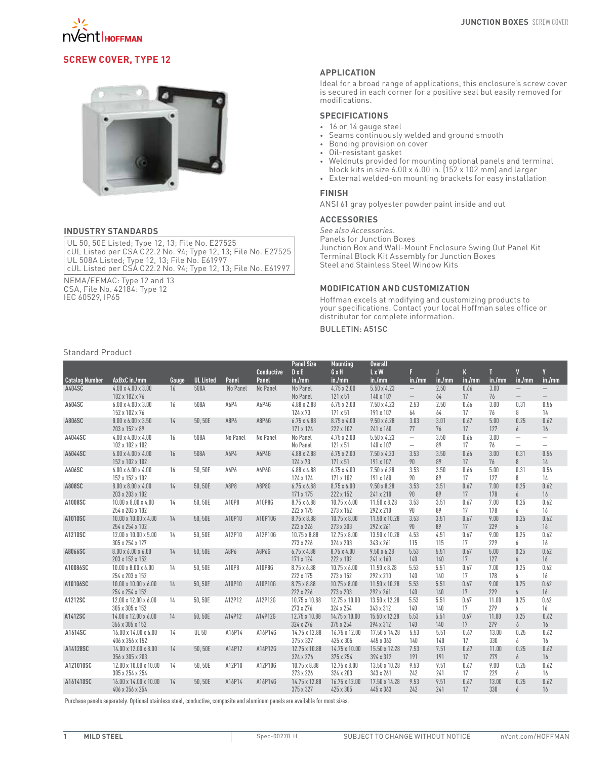

# **Screw Cover, Type 12**



#### **INDUSTRY STANDARDS**

UL 50, 50E Listed; Type 12, 13; File No. E27525 cUL Listed per CSA C22.2 No. 94; Type 12, 13; File No. E27525 UL 508A Listed; Type 12, 13; File No. E61997 cUL Listed per CSA C22.2 No. 94; Type 12, 13; File No. E61997

NEMA/EEMAC: Type 12 and 13 CSA, File No. 42184: Type 12 IEC 60529, IP65

### **APPLICATION**

Ideal for a broad range of applications, this enclosure's screw cover is secured in each corner for a positive seal but easily removed for modifications.

## **SPECIFICATIONS**

- • 16 or 14 gauge steel
- • Seams continuously welded and ground smooth
- • Bonding provision on cover
- • Oil-resistant gasket
- • Weldnuts provided for mounting optional panels and terminal block kits in size 6.00 x 4.00 in. (152 x 102 mm) and larger
- • External welded-on mounting brackets for easy installation

### **FINISH**

ANSI 61 gray polyester powder paint inside and out

## **ACCESSORIES**

*See also Accessories.* Panels for Junction Boxes Junction Box and Wall-Mount Enclosure Swing Out Panel Kit Terminal Block Kit Assembly for Junction Boxes Steel and Stainless Steel Window Kits

#### **MODIFICATION AND CUSTOMIZATION**

Hoffman excels at modifying and customizing products to your specifications. Contact your local Hoffman sales office or distributor for complete information.

## Bulletin: A51SC

### Standard Product

|                       |                                                     |       |                  |          | <b>Conductive</b> | <b>Panel Size</b><br>$D \times E$ | <b>Mounting</b><br>GxH           | <b>Overall</b><br>$L \times W$  | F                                                    | Л           | K          | T            | $\mathbf{V}$                                         | V                                                    |
|-----------------------|-----------------------------------------------------|-------|------------------|----------|-------------------|-----------------------------------|----------------------------------|---------------------------------|------------------------------------------------------|-------------|------------|--------------|------------------------------------------------------|------------------------------------------------------|
| <b>Catalog Number</b> | AxBxC in./mm                                        | Gauge | <b>UL Listed</b> | Panel    | Panel             | in./mm                            | in./mm                           | in./mm                          | in./mm                                               | in./mm      | in./mm     | in./mm       | in./mm                                               | in./mm                                               |
| A404SC                | $4.00 \times 4.00 \times 3.00$<br>102 x 102 x 76    | 16    | 508A             | No Panel | No Panel          | No Panel<br>No Panel              | $4.75 \times 2.00$<br>121 x 51   | $5.50 \times 4.23$<br>140 x 107 | $\overline{\phantom{m}}$<br>$\overline{\phantom{0}}$ | 2.50<br>64  | 0.66<br>17 | 3.00<br>76   | $\overline{\phantom{0}}$                             | $\overline{\phantom{0}}$<br>$\overline{\phantom{0}}$ |
| A604SC                | $6.00 \times 4.00 \times 3.00$<br>152 x 102 x 76    | 16    | 508A             | A6P4     | A6P4G             | 4.88 x 2.88<br>124 x 73           | $6.75 \times 2.00$<br>171 x 51   | $7.50 \times 4.23$<br>191 x 107 | 2.53<br>64                                           | 2.50<br>64  | 0.66<br>17 | 3.00<br>76   | 0.31<br>8                                            | 0.56<br>14                                           |
| A806SC                | $8.00 \times 6.00 \times 3.50$<br>203 x 152 x 89    | 14    | 50,50E           | A8P6     | A8P6G             | $6.75 \times 4.88$<br>171 x 124   | 8.75 x 4.00<br>222 x 102         | $9.50 \times 6.28$<br>241 x 160 | 3.03<br>77                                           | 3.01<br>76  | 0.67<br>17 | 5.00<br>127  | 0.25<br>6                                            | 0.62<br>16                                           |
| A4044SC               | $4.00 \times 4.00 \times 4.00$<br>102 x 102 x 102   | 16    | 508A             | No Panel | No Panel          | No Panel<br>No Panel              | $4.75 \times 2.00$<br>121 x 51   | $5.50 \times 4.23$<br>140 x 107 | $\overline{\phantom{0}}$<br>$\overline{\phantom{0}}$ | 3.50<br>89  | 0.66<br>17 | 3.00<br>76   | $\overline{\phantom{m}}$<br>$\overline{\phantom{0}}$ | $\overline{\phantom{0}}$<br>$\overline{\phantom{0}}$ |
| A6044SC               | $6.00 \times 4.00 \times 4.00$<br>152 x 102 x 102   | 16    | 508A             | A6P4     | A6P4G             | 4.88 x 2.88<br>124 x 73           | $6.75 \times 2.00$<br>171 x 51   | 7.50 x 4.23<br>191 x 107        | 3.53<br>90                                           | 3.50<br>89  | 0.66<br>17 | 3.00<br>76   | 0.31<br>8                                            | 0.56<br>14                                           |
| A606SC                | $6.00 \times 6.00 \times 4.00$<br>152 x 152 x 102   | 16    | 50,50E           | A6P6     | A6P6G             | 4.88 x 4.88<br>124 x 124          | $6.75 \times 4.00$<br>171 x 102  | $7.50 \times 6.28$<br>191 x 160 | 3.53<br>90                                           | 3.50<br>89  | 0.66<br>17 | 5.00<br>127  | 0.31<br>8                                            | 0.56<br>14                                           |
| A808SC                | $8.00 \times 8.00 \times 4.00$<br>203 x 203 x 102   | 14    | 50,50E           | A8P8     | A8P8G             | $6.75 \times 6.88$<br>171 x 175   | $8.75 \times 6.00$<br>222 x 152  | $9.50 \times 8.28$<br>241 x 210 | 3.53<br>90                                           | 3.51<br>89  | 0.67<br>17 | 7.00<br>178  | 0.25<br>6                                            | 0.62<br>16                                           |
| A1008SC               | $10.00 \times 8.00 \times 4.00$<br>254 x 203 x 102  | 14    | 50,50E           | A10P8    | A10P8G            | 8.75 x 6.88<br>222 x 175          | $10.75 \times 6.00$<br>273 x 152 | 11.50 x 8.28<br>292 x 210       | 3.53<br>90                                           | 3.51<br>89  | 0.67<br>17 | 7.00<br>178  | 0.25<br>6                                            | 0.62<br>16                                           |
| A1010SC               | $10.00 \times 10.00 \times 4.00$<br>254 x 254 x 102 | 14    | 50,50E           | A10P10   | A10P10G           | 8.75 x 8.88<br>222 x 226          | $10.75 \times 8.00$<br>273 x 203 | 11.50 x 10.28<br>292 x 261      | 3.53<br>90                                           | 3.51<br>89  | 0.67<br>17 | 9.00<br>229  | 0.25<br>6                                            | 0.62<br>16                                           |
| A1210SC               | 12.00 x 10.00 x 5.00<br>305 x 254 x 127             | 14    | 50,50E           | A12P10   | A12P10G           | 10.75 x 8.88<br>273 x 226         | $12.75 \times 8.00$<br>324 x 203 | 13.50 x 10.28<br>343 x 261      | 4.53<br>115                                          | 4.51<br>115 | 0.67<br>17 | 9.00<br>229  | 0.25<br>6                                            | 0.62<br>16                                           |
| A8066SC               | $8.00 \times 6.00 \times 6.00$<br>203 x 152 x 152   | 14    | 50,50E           | A8P6     | A8P6G             | $6.75 \times 4.88$<br>171 x 124   | $8.75 \times 4.00$<br>222 x 102  | $9.50 \times 6.28$<br>241 x 160 | 5.53<br>140                                          | 5.51<br>140 | 0.67<br>17 | 5.00<br>127  | 0.25<br>6                                            | 0.62<br>16                                           |
| A10086SC              | $10.00 \times 8.00 \times 6.00$<br>254 x 203 x 152  | 14    | 50,50E           | A10P8    | A10P8G            | 8.75 x 6.88<br>222 x 175          | $10.75 \times 6.00$<br>273 x 152 | 11.50 x 8.28<br>292 x 210       | 5.53<br>140                                          | 5.51<br>140 | 0.67<br>17 | 7.00<br>178  | 0.25<br>6                                            | 0.62<br>16                                           |
| A10106SC              | $10.00 \times 10.00 \times 6.00$<br>254 x 254 x 152 | 14    | 50,50E           | A10P10   | A10P10G           | 8.75 x 8.88<br>222 x 226          | $10.75 \times 8.00$<br>273 x 203 | 11.50 x 10.28<br>292 x 261      | 5.53<br>140                                          | 5.51<br>140 | 0.67<br>17 | 9.00<br>229  | 0.25<br>6                                            | 0.62<br>16                                           |
| A1212SC               | 12.00 x 12.00 x 6.00<br>305 x 305 x 152             | 14    | 50,50E           | A12P12   | A12P12G           | 10.75 x 10.88<br>273 x 276        | 12.75 x 10.00<br>324 x 254       | 13.50 x 12.28<br>343 x 312      | 5.53<br>140                                          | 5.51<br>140 | 0.67<br>17 | 11.00<br>279 | 0.25<br>6                                            | 0.62<br>16                                           |
| A1412SC               | 14.00 x 12.00 x 6.00<br>356 x 305 x 152             | 14    | 50,50E           | A14P12   | A14P12G           | 12.75 x 10.88<br>324 x 276        | 14.75 x 10.00<br>375 x 254       | 15.50 x 12.28<br>394 x 312      | 5.53<br>140                                          | 5.51<br>140 | 0.67<br>17 | 11.00<br>279 | 0.25<br>6                                            | 0.62<br>16                                           |
| A1614SC               | 16.00 x 14.00 x 6.00<br>406 x 356 x 152             | 14    | <b>UL 50</b>     | A16P14   | A16P14G           | 14.75 x 12.88<br>375 x 327        | 16.75 x 12.00<br>425 x 305       | 17.50 x 14.28<br>445 x 363      | 5.53<br>140                                          | 5.51<br>140 | 0.67<br>17 | 13.00<br>330 | 0.25<br>6                                            | 0.62<br>16                                           |
| A14128SC              | 14.00 x 12.00 x 8.00<br>356 x 305 x 203             | 14    | 50,50E           | A14P12   | A14P12G           | 12.75 x 10.88<br>324 x 276        | 14.75 x 10.00<br>375 x 254       | 15.50 x 12.28<br>394 x 312      | 7.53<br>191                                          | 7.51<br>191 | 0.67<br>17 | 11.00<br>279 | 0.25<br>6                                            | 0.62<br>16                                           |
| A121010SC             | 12.00 x 10.00 x 10.00<br>305 x 254 x 254            | 14    | 50,50E           | A12P10   | A12P10G           | 10.75 x 8.88<br>273 x 226         | $12.75 \times 8.00$<br>324 x 203 | 13.50 x 10.28<br>343 x 261      | 9.53<br>242                                          | 9.51<br>241 | 0.67<br>17 | 9.00<br>229  | 0.25<br>6                                            | 0.62<br>16                                           |
| A161410SC             | 16.00 x 14.00 x 10.00<br>406 x 356 x 254            | 14    | 50.50E           | A16P14   | A16P14G           | 14.75 x 12.88<br>375 x 327        | 16.75 x 12.00<br>425 x 305       | 17.50 x 14.28<br>445 x 363      | 9.53<br>242                                          | 9.51<br>241 | 0.67<br>17 | 13.00<br>330 | 0.25<br>6                                            | 0.62<br>16                                           |
|                       |                                                     |       |                  |          |                   |                                   |                                  |                                 |                                                      |             |            |              |                                                      |                                                      |

Purchase panels separately. Optional stainless steel, conductive, composite and aluminum panels are available for most sizes.